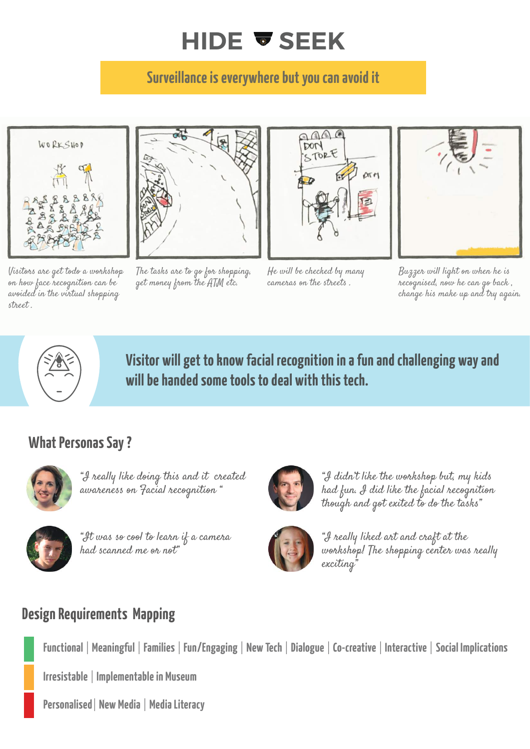## **HIDE & SEEK**

### **Surveillance is everywhere but you can avoid it**



Visitors are get todo a workshop on how face recognition can be avoided in the virtual shopping street .



The tasks are to go for shopping, get money from the ATM etc.



He will be checked by many cameras on the streets .



Buzzer will light on when he is recognised, now he can go back , change his make up and try again.



**Visitor will get to know facial recognition in a fun and challenging way and will be handed some tools to deal with this tech.**

#### **What Personas Say ?**



"I really like doing this and it created awareness on Facial recognition "

#### **Design Requirements Mapping**

**Functional** | **Meaningful** | **Families** | **Fun/Engaging** | **New Tech** | **Dialogue** | **Co-creative** | **Interactive** | **Social Implications**

**Irresistable** | **Implementable in Museum**

**Personalised**| **New Media** | **Media Literacy**



"I didn't like the workshop but, my kids had fun. I did like the facial recognition though and got exited to do the tasks"



"It was so cool to learn if a camera had scanned me or not"



"I really liked art and craft at the workshop! The shopping center was really exciting"

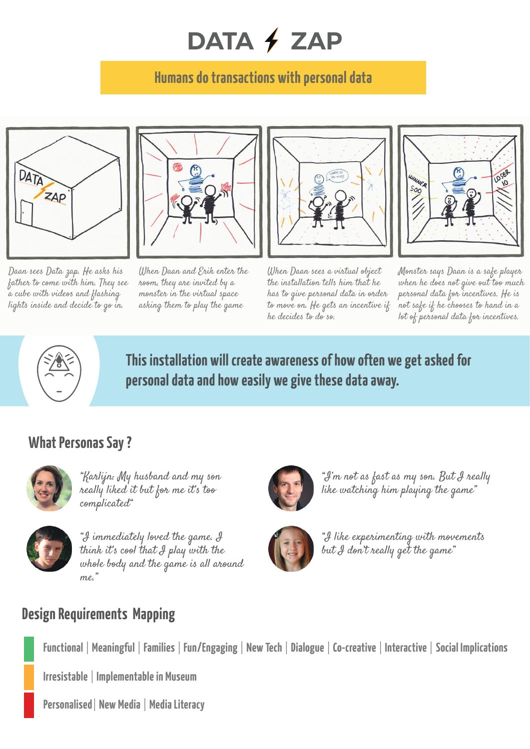# DATA **/ ZAP**

### **Humans do transactions with personal data**



Daan sees Data zap. He asks his father to come with him. They see a cube with videos and flashing lights inside and decide to go in.



When Daan and Erik enter the room, they are invited by a monster in the virtual space asking them to play the game



When Daan sees a virtual object the installation tells him that he has to give personal data in order to move on. He gets an incentive if he decides to do so.



Monster says Daan is a safe player when he does not give out too much personal data for incentives. He is not safe if he chooses to hand in a lot of personal data for incentives.



**This installation will create awareness of how often we get asked for personal data and how easily we give these data away.**

#### **What Personas Say ?**



"Karlijn: My husband and my son really liked it but for me it's too complicated"



#### **Design Requirements Mapping**

**Functional** | **Meaningful** | **Families** | **Fun/Engaging** | **New Tech** | **Dialogue** | **Co-creative** | **Interactive** | **Social Implications**

**Irresistable** | **Implementable in Museum**

**Personalised**| **New Media** | **Media Literacy**

"I'm not as fast as my son. But I really like watching him playing the game"



"I immediately loved the game. I think it's cool that I play with the whole body and the game is all around







"I like experimenting with movements but I don't really get the game"